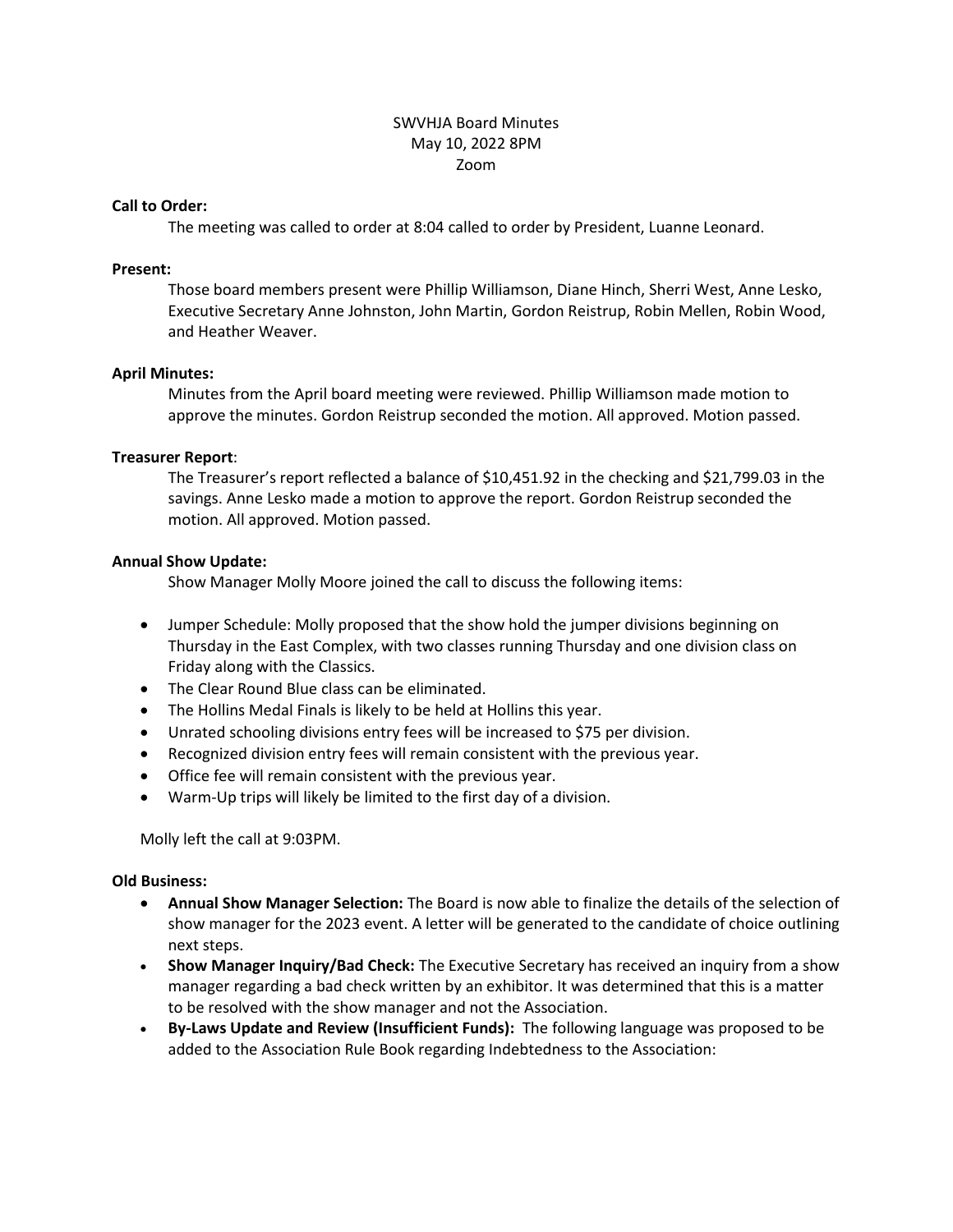# SWVHJA Board Minutes May 10, 2022 8PM Zoom

### **Call to Order:**

The meeting was called to order at 8:04 called to order by President, Luanne Leonard.

### **Present:**

Those board members present were Phillip Williamson, Diane Hinch, Sherri West, Anne Lesko, Executive Secretary Anne Johnston, John Martin, Gordon Reistrup, Robin Mellen, Robin Wood, and Heather Weaver.

# **April Minutes:**

Minutes from the April board meeting were reviewed. Phillip Williamson made motion to approve the minutes. Gordon Reistrup seconded the motion. All approved. Motion passed.

# **Treasurer Report**:

The Treasurer's report reflected a balance of \$10,451.92 in the checking and \$21,799.03 in the savings. Anne Lesko made a motion to approve the report. Gordon Reistrup seconded the motion. All approved. Motion passed.

# **Annual Show Update:**

Show Manager Molly Moore joined the call to discuss the following items:

- Jumper Schedule: Molly proposed that the show hold the jumper divisions beginning on Thursday in the East Complex, with two classes running Thursday and one division class on Friday along with the Classics.
- The Clear Round Blue class can be eliminated.
- The Hollins Medal Finals is likely to be held at Hollins this year.
- Unrated schooling divisions entry fees will be increased to \$75 per division.
- Recognized division entry fees will remain consistent with the previous year.
- Office fee will remain consistent with the previous year.
- Warm-Up trips will likely be limited to the first day of a division.

Molly left the call at 9:03PM.

#### **Old Business:**

- **Annual Show Manager Selection:** The Board is now able to finalize the details of the selection of show manager for the 2023 event. A letter will be generated to the candidate of choice outlining next steps.
- **Show Manager Inquiry/Bad Check:** The Executive Secretary has received an inquiry from a show manager regarding a bad check written by an exhibitor. It was determined that this is a matter to be resolved with the show manager and not the Association.
- **By-Laws Update and Review (Insufficient Funds):** The following language was proposed to be added to the Association Rule Book regarding Indebtedness to the Association: